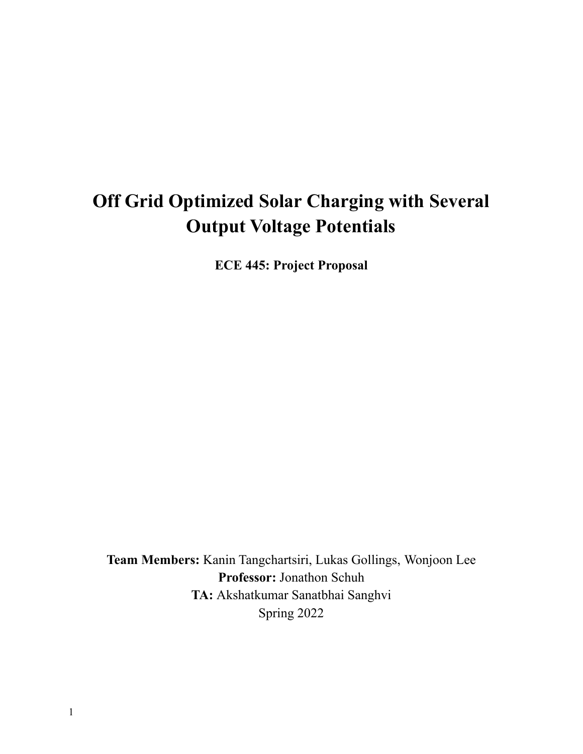# **Off Grid Optimized Solar Charging with Several Output Voltage Potentials**

**ECE 445: Project Proposal**

**Team Members:** Kanin Tangchartsiri, Lukas Gollings, Wonjoon Lee **Professor:** Jonathon Schuh **TA:** Akshatkumar Sanatbhai Sanghvi Spring 2022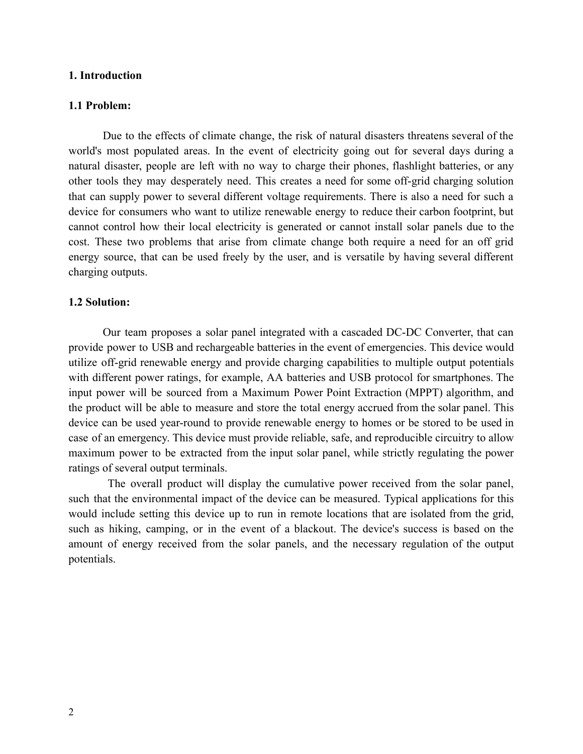#### **1. Introduction**

#### **1.1 Problem:**

Due to the effects of climate change, the risk of natural disasters threatens several of the world's most populated areas. In the event of electricity going out for several days during a natural disaster, people are left with no way to charge their phones, flashlight batteries, or any other tools they may desperately need. This creates a need for some off-grid charging solution that can supply power to several different voltage requirements. There is also a need for such a device for consumers who want to utilize renewable energy to reduce their carbon footprint, but cannot control how their local electricity is generated or cannot install solar panels due to the cost. These two problems that arise from climate change both require a need for an off grid energy source, that can be used freely by the user, and is versatile by having several different charging outputs.

#### **1.2 Solution:**

Our team proposes a solar panel integrated with a cascaded DC-DC Converter, that can provide power to USB and rechargeable batteries in the event of emergencies. This device would utilize off-grid renewable energy and provide charging capabilities to multiple output potentials with different power ratings, for example, AA batteries and USB protocol for smartphones. The input power will be sourced from a Maximum Power Point Extraction (MPPT) algorithm, and the product will be able to measure and store the total energy accrued from the solar panel. This device can be used year-round to provide renewable energy to homes or be stored to be used in case of an emergency. This device must provide reliable, safe, and reproducible circuitry to allow maximum power to be extracted from the input solar panel, while strictly regulating the power ratings of several output terminals.

The overall product will display the cumulative power received from the solar panel, such that the environmental impact of the device can be measured. Typical applications for this would include setting this device up to run in remote locations that are isolated from the grid, such as hiking, camping, or in the event of a blackout. The device's success is based on the amount of energy received from the solar panels, and the necessary regulation of the output potentials.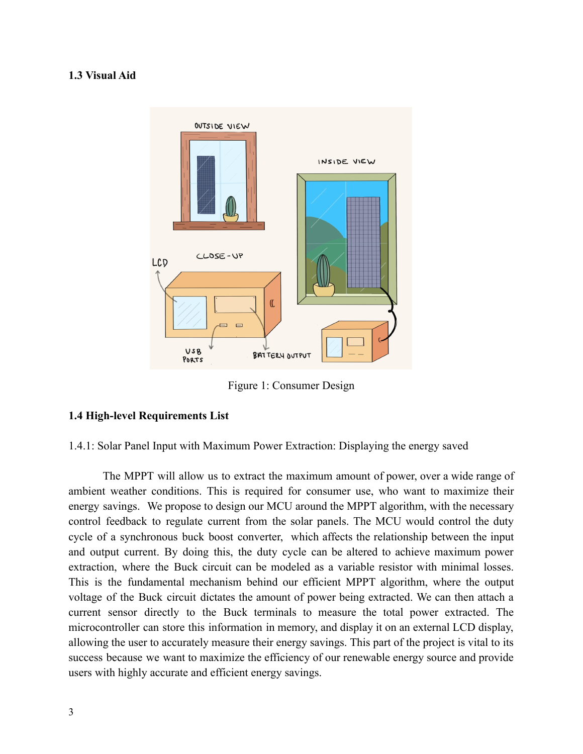#### **1.3 Visual Aid**



Figure 1: Consumer Design

#### **1.4 High-level Requirements List**

1.4.1: Solar Panel Input with Maximum Power Extraction: Displaying the energy saved

The MPPT will allow us to extract the maximum amount of power, over a wide range of ambient weather conditions. This is required for consumer use, who want to maximize their energy savings. We propose to design our MCU around the MPPT algorithm, with the necessary control feedback to regulate current from the solar panels. The MCU would control the duty cycle of a synchronous buck boost converter, which affects the relationship between the input and output current. By doing this, the duty cycle can be altered to achieve maximum power extraction, where the Buck circuit can be modeled as a variable resistor with minimal losses. This is the fundamental mechanism behind our efficient MPPT algorithm, where the output voltage of the Buck circuit dictates the amount of power being extracted. We can then attach a current sensor directly to the Buck terminals to measure the total power extracted. The microcontroller can store this information in memory, and display it on an external LCD display, allowing the user to accurately measure their energy savings. This part of the project is vital to its success because we want to maximize the efficiency of our renewable energy source and provide users with highly accurate and efficient energy savings.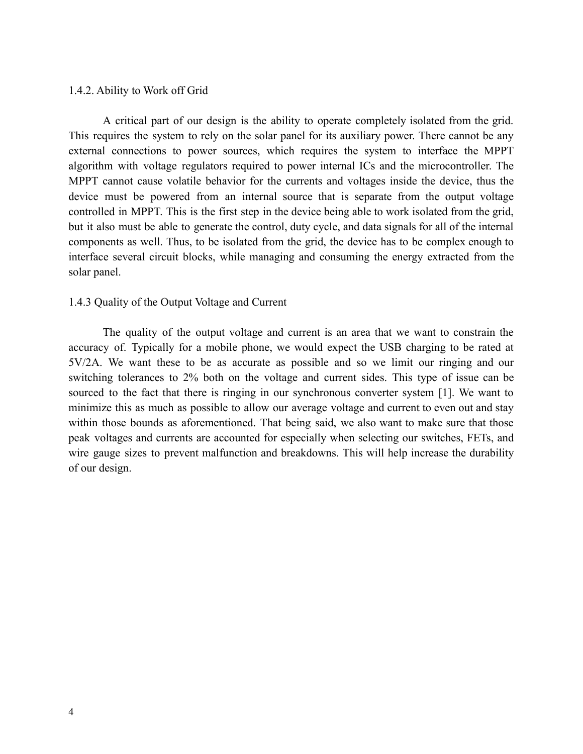#### 1.4.2. Ability to Work off Grid

A critical part of our design is the ability to operate completely isolated from the grid. This requires the system to rely on the solar panel for its auxiliary power. There cannot be any external connections to power sources, which requires the system to interface the MPPT algorithm with voltage regulators required to power internal ICs and the microcontroller. The MPPT cannot cause volatile behavior for the currents and voltages inside the device, thus the device must be powered from an internal source that is separate from the output voltage controlled in MPPT. This is the first step in the device being able to work isolated from the grid, but it also must be able to generate the control, duty cycle, and data signals for all of the internal components as well. Thus, to be isolated from the grid, the device has to be complex enough to interface several circuit blocks, while managing and consuming the energy extracted from the solar panel.

#### 1.4.3 Quality of the Output Voltage and Current

The quality of the output voltage and current is an area that we want to constrain the accuracy of. Typically for a mobile phone, we would expect the USB charging to be rated at 5V/2A. We want these to be as accurate as possible and so we limit our ringing and our switching tolerances to 2% both on the voltage and current sides. This type of issue can be sourced to the fact that there is ringing in our synchronous converter system [1]. We want to minimize this as much as possible to allow our average voltage and current to even out and stay within those bounds as aforementioned. That being said, we also want to make sure that those peak voltages and currents are accounted for especially when selecting our switches, FETs, and wire gauge sizes to prevent malfunction and breakdowns. This will help increase the durability of our design.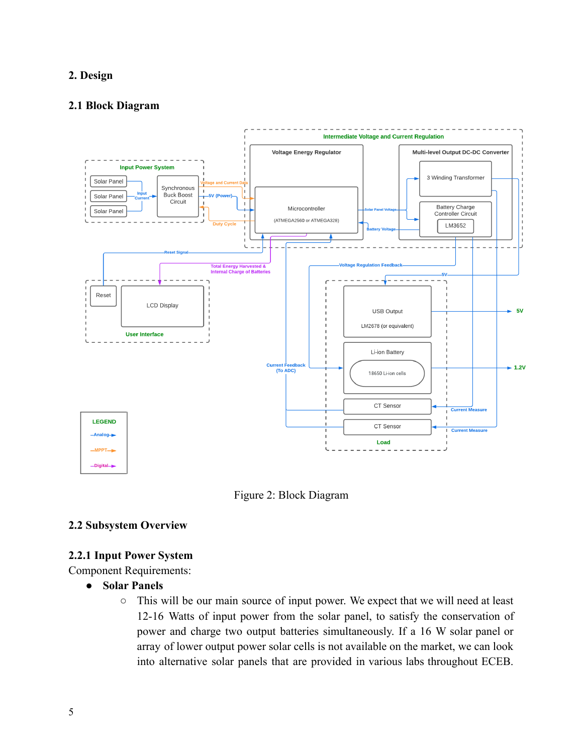## **2. Design**

#### **2.1 Block Diagram**





## **2.2 Subsystem Overview**

## **2.2.1 Input Power System**

Component Requirements:

- **● Solar Panels**
	- This will be our main source of input power. We expect that we will need at least 12-16 Watts of input power from the solar panel, to satisfy the conservation of power and charge two output batteries simultaneously. If a 16 W solar panel or array of lower output power solar cells is not available on the market, we can look into alternative solar panels that are provided in various labs throughout ECEB.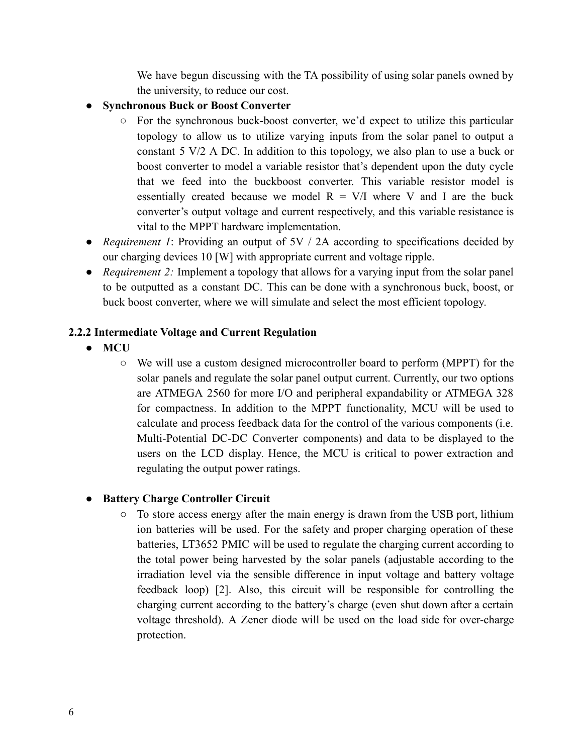We have begun discussing with the TA possibility of using solar panels owned by the university, to reduce our cost.

- **Synchronous Buck or Boost Converter** 
	- For the synchronous buck-boost converter, we'd expect to utilize this particular topology to allow us to utilize varying inputs from the solar panel to output a constant 5 V/2 A DC. In addition to this topology, we also plan to use a buck or boost converter to model a variable resistor that's dependent upon the duty cycle that we feed into the buckboost converter. This variable resistor model is essentially created because we model  $R = V/I$  where V and I are the buck converter's output voltage and current respectively, and this variable resistance is vital to the MPPT hardware implementation.
- *● Requirement 1*: Providing an output of 5V / 2A according to specifications decided by our charging devices 10 [W] with appropriate current and voltage ripple.
- *● Requirement 2:* Implement a topology that allows for a varying input from the solar panel to be outputted as a constant DC. This can be done with a synchronous buck, boost, or buck boost converter, where we will simulate and select the most efficient topology.

# **2.2.2 Intermediate Voltage and Current Regulation**

- **● MCU**
	- We will use a custom designed microcontroller board to perform (MPPT) for the solar panels and regulate the solar panel output current. Currently, our two options are ATMEGA 2560 for more I/O and peripheral expandability or ATMEGA 328 for compactness. In addition to the MPPT functionality, MCU will be used to calculate and process feedback data for the control of the various components (i.e. Multi-Potential DC-DC Converter components) and data to be displayed to the users on the LCD display. Hence, the MCU is critical to power extraction and regulating the output power ratings.

# **● Battery Charge Controller Circuit**

**○** To store access energy after the main energy is drawn from the USB port, lithium ion batteries will be used. For the safety and proper charging operation of these batteries, LT3652 PMIC will be used to regulate the charging current according to the total power being harvested by the solar panels (adjustable according to the irradiation level via the sensible difference in input voltage and battery voltage feedback loop) [2]. Also, this circuit will be responsible for controlling the charging current according to the battery's charge (even shut down after a certain voltage threshold). A Zener diode will be used on the load side for over-charge protection.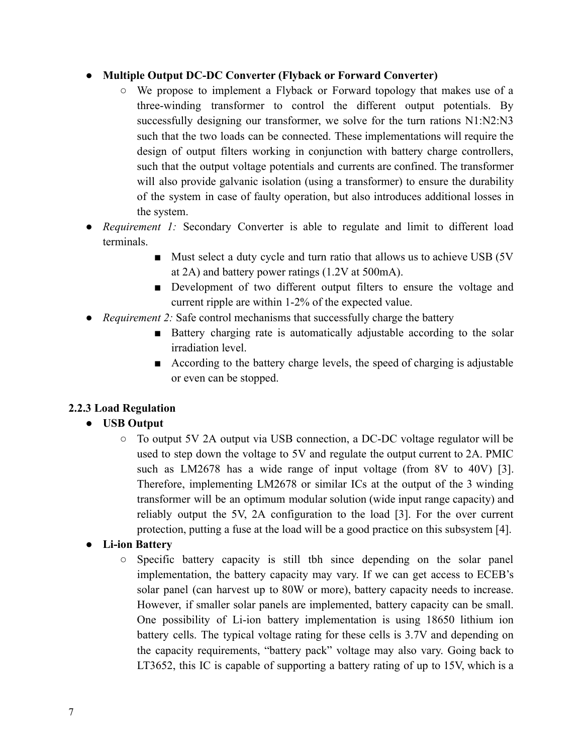## **● Multiple Output DC-DC Converter (Flyback or Forward Converter)**

- We propose to implement a Flyback or Forward topology that makes use of a three-winding transformer to control the different output potentials. By successfully designing our transformer, we solve for the turn rations N1:N2:N3 such that the two loads can be connected. These implementations will require the design of output filters working in conjunction with battery charge controllers, such that the output voltage potentials and currents are confined. The transformer will also provide galvanic isolation (using a transformer) to ensure the durability of the system in case of faulty operation, but also introduces additional losses in the system.
- *● Requirement 1:* Secondary Converter is able to regulate and limit to different load terminals.
	- Must select a duty cycle and turn ratio that allows us to achieve USB (5V) at 2A) and battery power ratings (1.2V at 500mA).
	- Development of two different output filters to ensure the voltage and current ripple are within 1-2% of the expected value.
- *● Requirement 2:* Safe control mechanisms that successfully charge the battery
	- Battery charging rate is automatically adjustable according to the solar irradiation level.
	- According to the battery charge levels, the speed of charging is adjustable or even can be stopped.

# **2.2.3 Load Regulation**

# **● USB Output**

○ To output 5V 2A output via USB connection, a DC-DC voltage regulator will be used to step down the voltage to 5V and regulate the output current to 2A. PMIC such as LM2678 has a wide range of input voltage (from 8V to 40V) [3]. Therefore, implementing LM2678 or similar ICs at the output of the 3 winding transformer will be an optimum modular solution (wide input range capacity) and reliably output the 5V, 2A configuration to the load [3]. For the over current protection, putting a fuse at the load will be a good practice on this subsystem [4].

# **● Li-ion Battery**

○ Specific battery capacity is still tbh since depending on the solar panel implementation, the battery capacity may vary. If we can get access to ECEB's solar panel (can harvest up to 80W or more), battery capacity needs to increase. However, if smaller solar panels are implemented, battery capacity can be small. One possibility of Li-ion battery implementation is using 18650 lithium ion battery cells. The typical voltage rating for these cells is 3.7V and depending on the capacity requirements, "battery pack" voltage may also vary. Going back to LT3652, this IC is capable of supporting a battery rating of up to 15V, which is a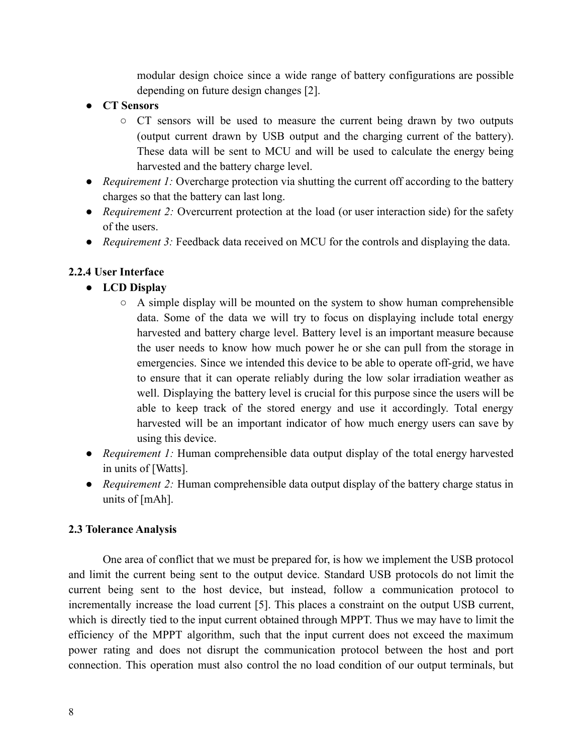modular design choice since a wide range of battery configurations are possible depending on future design changes [2].

- **● CT Sensors**
	- CT sensors will be used to measure the current being drawn by two outputs (output current drawn by USB output and the charging current of the battery). These data will be sent to MCU and will be used to calculate the energy being harvested and the battery charge level.
- *Requirement 1:* Overcharge protection via shutting the current off according to the battery charges so that the battery can last long.
- *Requirement 2:* Overcurrent protection at the load (or user interaction side) for the safety of the users.
- *Requirement 3:* Feedback data received on MCU for the controls and displaying the data.

## **2.2.4 User Interface**

- **● LCD Display**
	- **○** A simple display will be mounted on the system to show human comprehensible data. Some of the data we will try to focus on displaying include total energy harvested and battery charge level. Battery level is an important measure because the user needs to know how much power he or she can pull from the storage in emergencies. Since we intended this device to be able to operate off-grid, we have to ensure that it can operate reliably during the low solar irradiation weather as well. Displaying the battery level is crucial for this purpose since the users will be able to keep track of the stored energy and use it accordingly. Total energy harvested will be an important indicator of how much energy users can save by using this device.
- *● Requirement 1:* Human comprehensible data output display of the total energy harvested in units of [Watts].
- *Requirement 2:* Human comprehensible data output display of the battery charge status in units of [mAh].

# **2.3 Tolerance Analysis**

One area of conflict that we must be prepared for, is how we implement the USB protocol and limit the current being sent to the output device. Standard USB protocols do not limit the current being sent to the host device, but instead, follow a communication protocol to incrementally increase the load current [5]. This places a constraint on the output USB current, which is directly tied to the input current obtained through MPPT. Thus we may have to limit the efficiency of the MPPT algorithm, such that the input current does not exceed the maximum power rating and does not disrupt the communication protocol between the host and port connection. This operation must also control the no load condition of our output terminals, but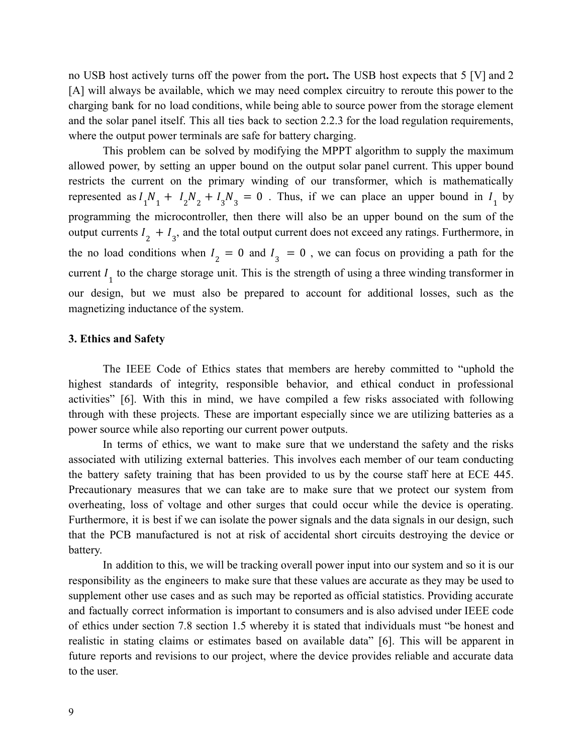no USB host actively turns off the power from the port**.** The USB host expects that 5 [V] and 2 [A] will always be available, which we may need complex circuitry to reroute this power to the charging bank for no load conditions, while being able to source power from the storage element and the solar panel itself. This all ties back to section 2.2.3 for the load regulation requirements, where the output power terminals are safe for battery charging.

This problem can be solved by modifying the MPPT algorithm to supply the maximum allowed power, by setting an upper bound on the output solar panel current. This upper bound restricts the current on the primary winding of our transformer, which is mathematically represented as  $I_1N_1 + I_2N_2 + I_3N_3 = 0$ . Thus, if we can place an upper bound in  $I_1$  by programming the microcontroller, then there will also be an upper bound on the sum of the output currents  $I_2 + I_3$ , and the total output current does not exceed any ratings. Furthermore, in the no load conditions when  $I_2 = 0$  and  $I_3 = 0$ , we can focus on providing a path for the current  $I_1$  to the charge storage unit. This is the strength of using a three winding transformer in our design, but we must also be prepared to account for additional losses, such as the magnetizing inductance of the system.

#### **3. Ethics and Safety**

The IEEE Code of Ethics states that members are hereby committed to "uphold the highest standards of integrity, responsible behavior, and ethical conduct in professional activities" [6]. With this in mind, we have compiled a few risks associated with following through with these projects. These are important especially since we are utilizing batteries as a power source while also reporting our current power outputs.

In terms of ethics, we want to make sure that we understand the safety and the risks associated with utilizing external batteries. This involves each member of our team conducting the battery safety training that has been provided to us by the course staff here at ECE 445. Precautionary measures that we can take are to make sure that we protect our system from overheating, loss of voltage and other surges that could occur while the device is operating. Furthermore, it is best if we can isolate the power signals and the data signals in our design, such that the PCB manufactured is not at risk of accidental short circuits destroying the device or battery.

In addition to this, we will be tracking overall power input into our system and so it is our responsibility as the engineers to make sure that these values are accurate as they may be used to supplement other use cases and as such may be reported as official statistics. Providing accurate and factually correct information is important to consumers and is also advised under IEEE code of ethics under section 7.8 section 1.5 whereby it is stated that individuals must "be honest and realistic in stating claims or estimates based on available data" [6]. This will be apparent in future reports and revisions to our project, where the device provides reliable and accurate data to the user.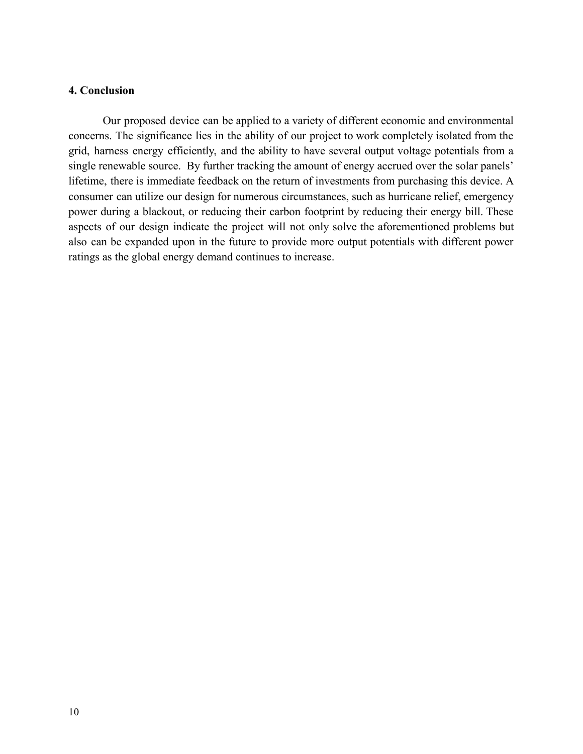## **4. Conclusion**

Our proposed device can be applied to a variety of different economic and environmental concerns. The significance lies in the ability of our project to work completely isolated from the grid, harness energy efficiently, and the ability to have several output voltage potentials from a single renewable source. By further tracking the amount of energy accrued over the solar panels' lifetime, there is immediate feedback on the return of investments from purchasing this device. A consumer can utilize our design for numerous circumstances, such as hurricane relief, emergency power during a blackout, or reducing their carbon footprint by reducing their energy bill. These aspects of our design indicate the project will not only solve the aforementioned problems but also can be expanded upon in the future to provide more output potentials with different power ratings as the global energy demand continues to increase.